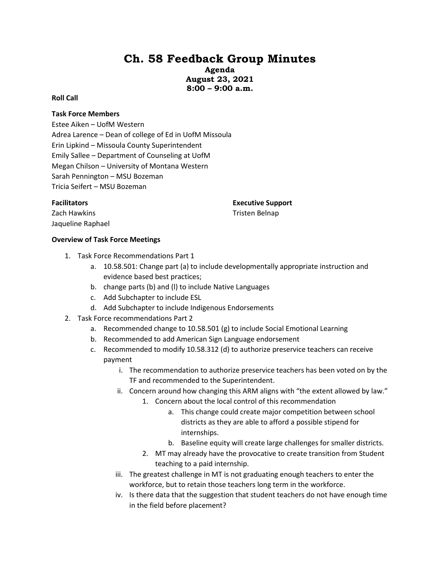# **Ch. 58 Feedback Group Minutes**

**Agenda August 23, 2021 8:00 – 9:00 a.m.**

#### **Roll Call**

### **Task Force Members**

Estee Aiken – UofM Western Adrea Larence – Dean of college of Ed in UofM Missoula Erin Lipkind – Missoula County Superintendent Emily Sallee – Department of Counseling at UofM Megan Chilson – University of Montana Western Sarah Pennington – MSU Bozeman Tricia Seifert – MSU Bozeman

### **Facilitators**

**Executive Support** Tristen Belnap

Zach Hawkins Jaqueline Raphael

### **Overview of Task Force Meetings**

- 1. Task Force Recommendations Part 1
	- a. 10.58.501: Change part (a) to include developmentally appropriate instruction and evidence based best practices;
	- b. change parts (b) and (l) to include Native Languages
	- c. Add Subchapter to include ESL
	- d. Add Subchapter to include Indigenous Endorsements
- 2. Task Force recommendations Part 2
	- a. Recommended change to 10.58.501 (g) to include Social Emotional Learning
	- b. Recommended to add American Sign Language endorsement
	- c. Recommended to modify 10.58.312 (d) to authorize preservice teachers can receive payment
		- i. The recommendation to authorize preservice teachers has been voted on by the TF and recommended to the Superintendent.
		- ii. Concern around how changing this ARM aligns with "the extent allowed by law."
			- 1. Concern about the local control of this recommendation
				- a. This change could create major competition between school districts as they are able to afford a possible stipend for internships.
				- b. Baseline equity will create large challenges for smaller districts.
			- 2. MT may already have the provocative to create transition from Student teaching to a paid internship.
		- iii. The greatest challenge in MT is not graduating enough teachers to enter the workforce, but to retain those teachers long term in the workforce.
		- iv. Is there data that the suggestion that student teachers do not have enough time in the field before placement?